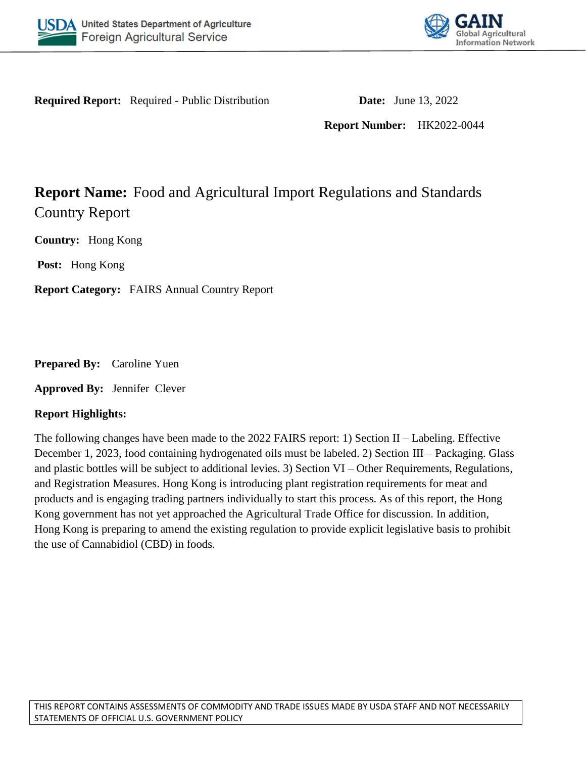



**Required Report:** Required - Public Distribution **Date:** June 13, 2022

**Report Number:** HK2022-0044

# **Report Name:** Food and Agricultural Import Regulations and Standards Country Report

**Country:** Hong Kong

**Post:** Hong Kong

**Report Category:** FAIRS Annual Country Report

**Prepared By:** Caroline Yuen

**Approved By:** Jennifer Clever

### **Report Highlights:**

The following changes have been made to the 2022 FAIRS report: 1) Section II – Labeling. Effective December 1, 2023, food containing hydrogenated oils must be labeled. 2) Section III – Packaging. Glass and plastic bottles will be subject to additional levies. 3) Section VI – Other Requirements, Regulations, and Registration Measures. Hong Kong is introducing plant registration requirements for meat and products and is engaging trading partners individually to start this process. As of this report, the Hong Kong government has not yet approached the Agricultural Trade Office for discussion. In addition, Hong Kong is preparing to amend the existing regulation to provide explicit legislative basis to prohibit the use of Cannabidiol (CBD) in foods.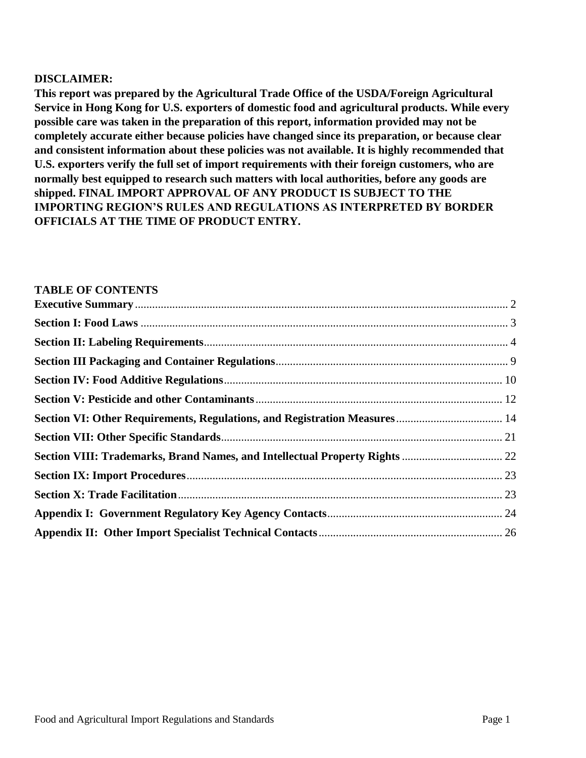#### **DISCLAIMER:**

**This report was prepared by the Agricultural Trade Office of the USDA/Foreign Agricultural Service in Hong Kong for U.S. exporters of domestic food and agricultural products. While every possible care was taken in the preparation of this report, information provided may not be completely accurate either because policies have changed since its preparation, or because clear and consistent information about these policies was not available. It is highly recommended that U.S. exporters verify the full set of import requirements with their foreign customers, who are normally best equipped to research such matters with local authorities, before any goods are shipped. FINAL IMPORT APPROVAL OF ANY PRODUCT IS SUBJECT TO THE IMPORTING REGION'S RULES AND REGULATIONS AS INTERPRETED BY BORDER OFFICIALS AT THE TIME OF PRODUCT ENTRY.**

#### **TABLE OF CONTENTS**

| Section VIII: Trademarks, Brand Names, and Intellectual Property Rights  22 |  |
|-----------------------------------------------------------------------------|--|
|                                                                             |  |
|                                                                             |  |
|                                                                             |  |
|                                                                             |  |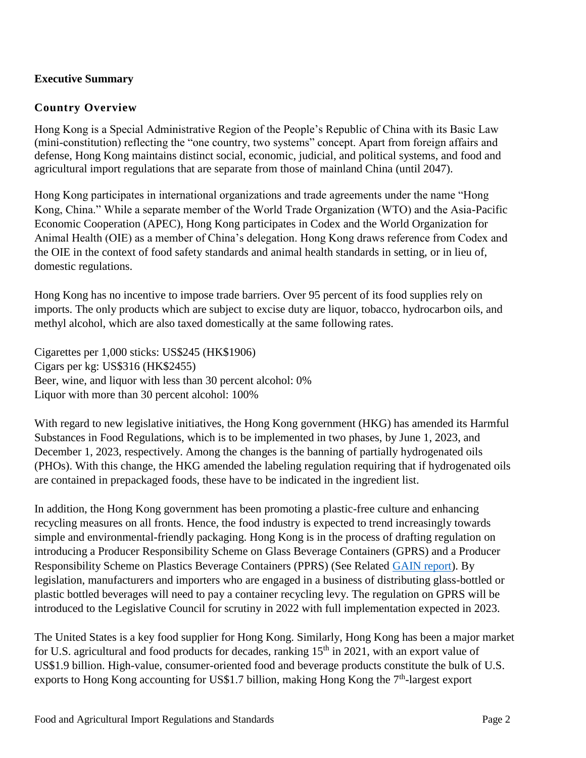# <span id="page-2-0"></span>**Executive Summary**

### **Country Overview**

Hong Kong is a Special Administrative Region of the People's Republic of China with its Basic Law (mini-constitution) reflecting the "one country, two systems" concept. Apart from foreign affairs and defense, Hong Kong maintains distinct social, economic, judicial, and political systems, and food and agricultural import regulations that are separate from those of mainland China (until 2047).

Hong Kong participates in international organizations and trade agreements under the name "Hong Kong, China." While a separate member of the World Trade Organization (WTO) and the Asia-Pacific Economic Cooperation (APEC), Hong Kong participates in Codex and the World Organization for Animal Health (OIE) as a member of China's delegation. Hong Kong draws reference from Codex and the OIE in the context of food safety standards and animal health standards in setting, or in lieu of, domestic regulations.

Hong Kong has no incentive to impose trade barriers. Over 95 percent of its food supplies rely on imports. The only products which are subject to excise duty are liquor, tobacco, hydrocarbon oils, and methyl alcohol, which are also taxed domestically at the same following rates.

Cigarettes per 1,000 sticks: US\$245 (HK\$1906) Cigars per kg: US\$316 (HK\$2455) Beer, wine, and liquor with less than 30 percent alcohol: 0% Liquor with more than 30 percent alcohol: 100%

With regard to new legislative initiatives, the Hong Kong government (HKG) has amended its Harmful Substances in Food Regulations, which is to be implemented in two phases, by June 1, 2023, and December 1, 2023, respectively. Among the changes is the banning of partially hydrogenated oils (PHOs). With this change, the HKG amended the labeling regulation requiring that if hydrogenated oils are contained in prepackaged foods, these have to be indicated in the ingredient list.

In addition, the Hong Kong government has been promoting a plastic-free culture and enhancing recycling measures on all fronts. Hence, the food industry is expected to trend increasingly towards simple and environmental-friendly packaging. Hong Kong is in the process of drafting regulation on introducing a Producer Responsibility Scheme on Glass Beverage Containers (GPRS) and a Producer Responsibility Scheme on Plastics Beverage Containers (PPRS) (See Related [GAIN report\)](https://www.fas.usda.gov/data/hong-kong-polluter-pays-principle-introduces-new-levies-beverage-containers). By legislation, manufacturers and importers who are engaged in a business of distributing glass-bottled or plastic bottled beverages will need to pay a container recycling levy. The regulation on GPRS will be introduced to the Legislative Council for scrutiny in 2022 with full implementation expected in 2023.

The United States is a key food supplier for Hong Kong. Similarly, Hong Kong has been a major market for U.S. agricultural and food products for decades, ranking  $15<sup>th</sup>$  in 2021, with an export value of US\$1.9 billion. High-value, consumer-oriented food and beverage products constitute the bulk of U.S. exports to Hong Kong accounting for US\$1.7 billion, making Hong Kong the  $7<sup>th</sup>$ -largest export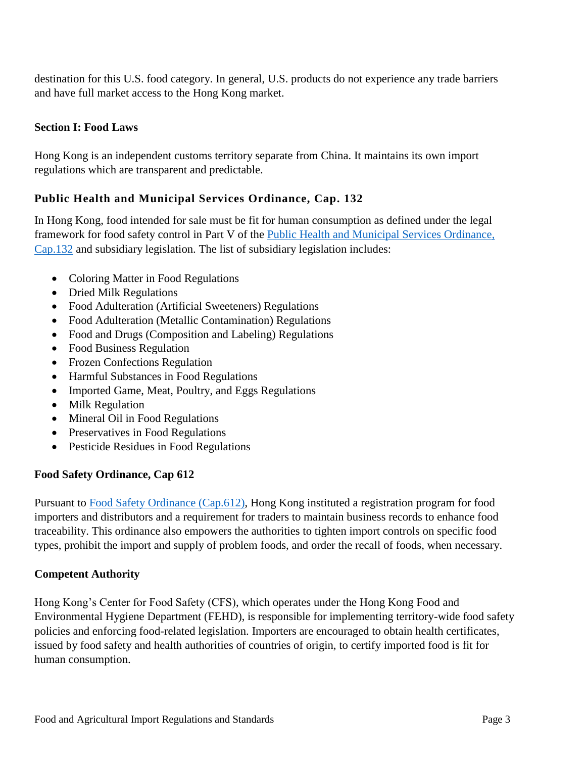destination for this U.S. food category. In general, U.S. products do not experience any trade barriers and have full market access to the Hong Kong market.

### <span id="page-3-0"></span>**Section I: Food Laws**

Hong Kong is an independent customs territory separate from China. It maintains its own import regulations which are transparent and predictable.

# **Public Health and Municipal Services Ordinance, Cap. 132**

In Hong Kong, food intended for sale must be fit for human consumption as defined under the legal framework for food safety control in Part V of the [Public Health and Municipal Services Ordinance,](https://www.elegislation.gov.hk/hk/cap132)  [Cap.132](https://www.elegislation.gov.hk/hk/cap132) and subsidiary legislation. The list of subsidiary legislation includes:

- Coloring Matter in Food Regulations
- Dried Milk Regulations
- Food Adulteration (Artificial Sweeteners) Regulations
- Food Adulteration (Metallic Contamination) Regulations
- Food and Drugs (Composition and Labeling) Regulations
- Food Business Regulation
- Frozen Confections Regulation
- Harmful Substances in Food Regulations
- Imported Game, Meat, Poultry, and Eggs Regulations
- Milk Regulation
- Mineral Oil in Food Regulations
- Preservatives in Food Regulations
- Pesticide Residues in Food Regulations

### **Food Safety Ordinance, Cap 612**

Pursuant to [Food Safety Ordinance \(Cap.612\),](https://www.elegislation.gov.hk/hk/cap612) Hong Kong instituted a registration program for food importers and distributors and a requirement for traders to maintain business records to enhance food traceability. This ordinance also empowers the authorities to tighten import controls on specific food types, prohibit the import and supply of problem foods, and order the recall of foods, when necessary.

### **Competent Authority**

Hong Kong's Center for Food Safety (CFS), which operates under the Hong Kong Food and Environmental Hygiene Department (FEHD), is responsible for implementing territory-wide food safety policies and enforcing food-related legislation. Importers are encouraged to obtain health certificates, issued by food safety and health authorities of countries of origin, to certify imported food is fit for human consumption.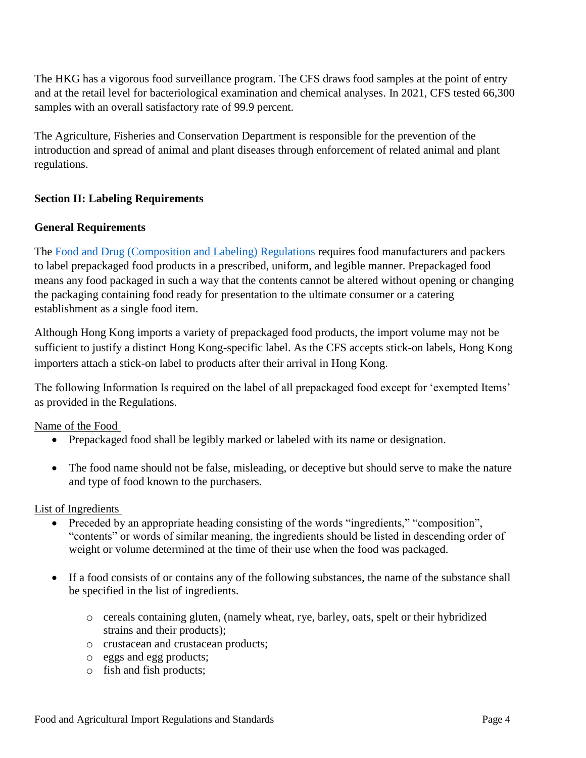The HKG has a vigorous food surveillance program. The CFS draws food samples at the point of entry and at the retail level for bacteriological examination and chemical analyses. In 2021, CFS tested 66,300 samples with an overall satisfactory rate of 99.9 percent.

The Agriculture, Fisheries and Conservation Department is responsible for the prevention of the introduction and spread of animal and plant diseases through enforcement of related animal and plant regulations.

### <span id="page-4-0"></span>**Section II: Labeling Requirements**

#### **General Requirements**

The [Food and Drug \(Composition and Labeling\) Regulations](https://www.elegislation.gov.hk/hk/cap132W?xpid=ID_1438402697252_001) requires food manufacturers and packers to label prepackaged food products in a prescribed, uniform, and legible manner. Prepackaged food means any food packaged in such a way that the contents cannot be altered without opening or changing the packaging containing food ready for presentation to the ultimate consumer or a catering establishment as a single food item.

Although Hong Kong imports a variety of prepackaged food products, the import volume may not be sufficient to justify a distinct Hong Kong-specific label. As the CFS accepts stick-on labels, Hong Kong importers attach a stick-on label to products after their arrival in Hong Kong.

The following Information Is required on the label of all prepackaged food except for 'exempted Items' as provided in the Regulations.

Name of the Food

- Prepackaged food shall be legibly marked or labeled with its name or designation.
- The food name should not be false, misleading, or deceptive but should serve to make the nature and type of food known to the purchasers.

#### List of Ingredients

- Preceded by an appropriate heading consisting of the words "ingredients," "composition", "contents" or words of similar meaning, the ingredients should be listed in descending order of weight or volume determined at the time of their use when the food was packaged.
- If a food consists of or contains any of the following substances, the name of the substance shall be specified in the list of ingredients.
	- o cereals containing gluten, (namely wheat, rye, barley, oats, spelt or their hybridized strains and their products);
	- o crustacean and crustacean products;
	- o eggs and egg products;
	- o fish and fish products;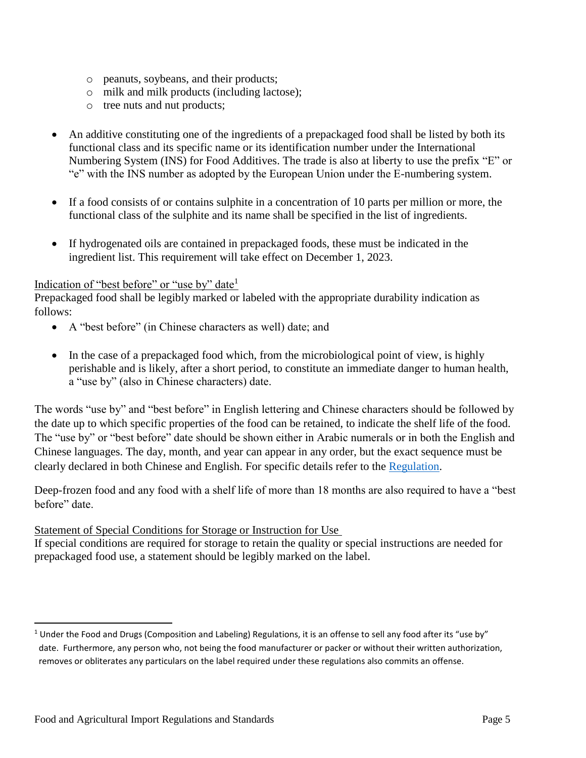- o peanuts, soybeans, and their products;
- o milk and milk products (including lactose);
- o tree nuts and nut products;
- An additive constituting one of the ingredients of a prepackaged food shall be listed by both its functional class and its specific name or its identification number under the International Numbering System (INS) for Food Additives. The trade is also at liberty to use the prefix "E" or "e" with the INS number as adopted by the European Union under the E-numbering system.
- If a food consists of or contains sulphite in a concentration of 10 parts per million or more, the functional class of the sulphite and its name shall be specified in the list of ingredients.
- If hydrogenated oils are contained in prepackaged foods, these must be indicated in the ingredient list. This requirement will take effect on December 1, 2023.

#### Indication of "best before" or "use by" date<sup>1</sup>

Prepackaged food shall be legibly marked or labeled with the appropriate durability indication as follows:

- A "best before" (in Chinese characters as well) date; and
- In the case of a prepackaged food which, from the microbiological point of view, is highly perishable and is likely, after a short period, to constitute an immediate danger to human health, a "use by" (also in Chinese characters) date.

The words "use by" and "best before" in English lettering and Chinese characters should be followed by the date up to which specific properties of the food can be retained, to indicate the shelf life of the food. The "use by" or "best before" date should be shown either in Arabic numerals or in both the English and Chinese languages. The day, month, and year can appear in any order, but the exact sequence must be clearly declared in both Chinese and English. For specific details refer to the [Regulation.](https://www.elegislation.gov.hk/hk/cap132W?xpid=ID_1438402697252_001)

Deep-frozen food and any food with a shelf life of more than 18 months are also required to have a "best before" date.

#### Statement of Special Conditions for Storage or Instruction for Use

If special conditions are required for storage to retain the quality or special instructions are needed for prepackaged food use, a statement should be legibly marked on the label.

 $\overline{a}$ 

 $1$  Under the Food and Drugs (Composition and Labeling) Regulations, it is an offense to sell any food after its "use by" date. Furthermore, any person who, not being the food manufacturer or packer or without their written authorization, removes or obliterates any particulars on the label required under these regulations also commits an offense.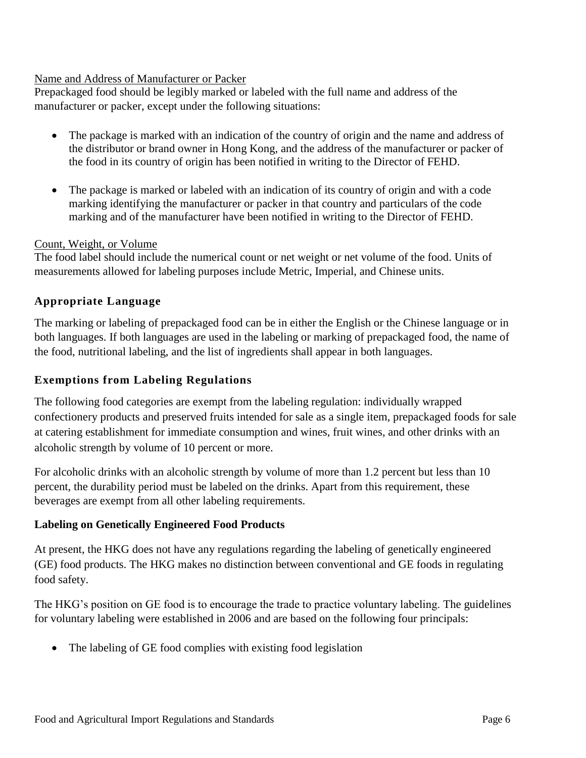#### Name and Address of Manufacturer or Packer

Prepackaged food should be legibly marked or labeled with the full name and address of the manufacturer or packer, except under the following situations:

- The package is marked with an indication of the country of origin and the name and address of the distributor or brand owner in Hong Kong, and the address of the manufacturer or packer of the food in its country of origin has been notified in writing to the Director of FEHD.
- The package is marked or labeled with an indication of its country of origin and with a code marking identifying the manufacturer or packer in that country and particulars of the code marking and of the manufacturer have been notified in writing to the Director of FEHD.

#### Count, Weight, or Volume

The food label should include the numerical count or net weight or net volume of the food. Units of measurements allowed for labeling purposes include Metric, Imperial, and Chinese units.

# **Appropriate Language**

The marking or labeling of prepackaged food can be in either the English or the Chinese language or in both languages. If both languages are used in the labeling or marking of prepackaged food, the name of the food, nutritional labeling, and the list of ingredients shall appear in both languages.

### **Exemptions from Labeling Regulations**

The following food categories are exempt from the labeling regulation: individually wrapped confectionery products and preserved fruits intended for sale as a single item, prepackaged foods for sale at catering establishment for immediate consumption and wines, fruit wines, and other drinks with an alcoholic strength by volume of 10 percent or more.

For alcoholic drinks with an alcoholic strength by volume of more than 1.2 percent but less than 10 percent, the durability period must be labeled on the drinks. Apart from this requirement, these beverages are exempt from all other labeling requirements.

### **Labeling on Genetically Engineered Food Products**

At present, the HKG does not have any regulations regarding the labeling of genetically engineered (GE) food products. The HKG makes no distinction between conventional and GE foods in regulating food safety.

The HKG's position on GE food is to encourage the trade to practice voluntary labeling. The guidelines for voluntary labeling were established in 2006 and are based on the following four principals:

• The labeling of GE food complies with existing food legislation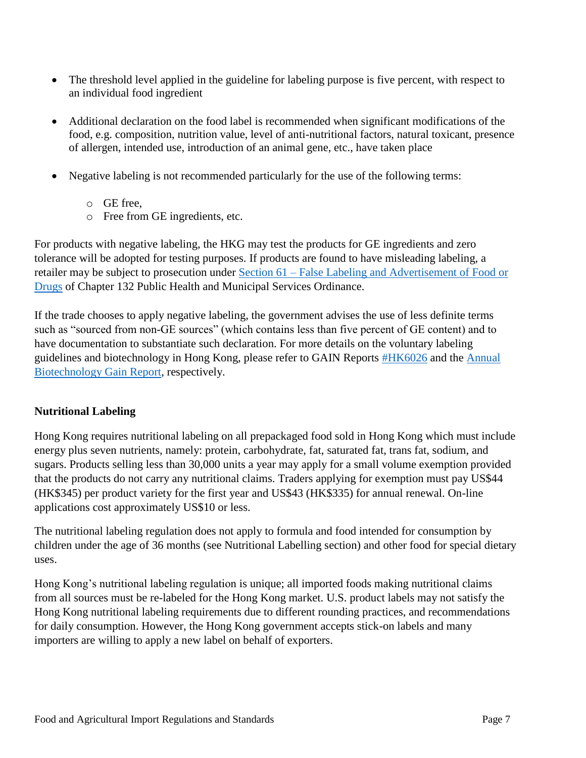- The threshold level applied in the guideline for labeling purpose is five percent, with respect to an individual food ingredient
- Additional declaration on the food label is recommended when significant modifications of the food, e.g. composition, nutrition value, level of anti-nutritional factors, natural toxicant, presence of allergen, intended use, introduction of an animal gene, etc., have taken place
- Negative labeling is not recommended particularly for the use of the following terms:
	- o GE free,
	- o Free from GE ingredients, etc.

For products with negative labeling, the HKG may test the products for GE ingredients and zero tolerance will be adopted for testing purposes. If products are found to have misleading labeling, a retailer may be subject to prosecution under Section 61 – [False Labeling and Advertisement of Food or](https://www.elegislation.gov.hk/hk/cap132?xpid=ID_1438402661216_001)  [Drugs](https://www.elegislation.gov.hk/hk/cap132?xpid=ID_1438402661216_001) of Chapter 132 Public Health and Municipal Services Ordinance.

If the trade chooses to apply negative labeling, the government advises the use of less definite terms such as "sourced from non-GE sources" (which contains less than five percent of GE content) and to have documentation to substantiate such declaration. For more details on the voluntary labeling guidelines and biotechnology in Hong Kong, please refer to GAIN Reports [#HK6026](http://www.fas.usda.gov/gainfiles/200610/146249357.pdf) and the [Annual](https://www.fas.usda.gov/data/hong-kong-agricultural-biotechnology-annual-5)  [Biotechnology Gain Report,](https://www.fas.usda.gov/data/hong-kong-agricultural-biotechnology-annual-5) respectively.

### **Nutritional Labeling**

Hong Kong requires nutritional labeling on all prepackaged food sold in Hong Kong which must include energy plus seven nutrients, namely: protein, carbohydrate, fat, saturated fat, trans fat, sodium, and sugars. Products selling less than 30,000 units a year may apply for a small volume exemption provided that the products do not carry any nutritional claims. Traders applying for exemption must pay US\$44 (HK\$345) per product variety for the first year and US\$43 (HK\$335) for annual renewal. On-line applications cost approximately US\$10 or less.

The nutritional labeling regulation does not apply to formula and food intended for consumption by children under the age of 36 months (see Nutritional Labelling section) and other food for special dietary uses.

Hong Kong's nutritional labeling regulation is unique; all imported foods making nutritional claims from all sources must be re-labeled for the Hong Kong market. U.S. product labels may not satisfy the Hong Kong nutritional labeling requirements due to different rounding practices, and recommendations for daily consumption. However, the Hong Kong government accepts stick-on labels and many importers are willing to apply a new label on behalf of exporters.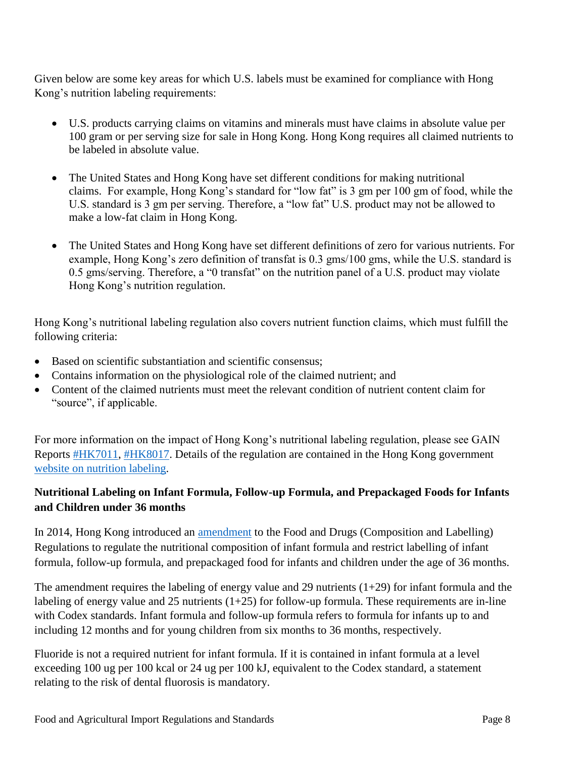Given below are some key areas for which U.S. labels must be examined for compliance with Hong Kong's nutrition labeling requirements:

- U.S. products carrying claims on vitamins and minerals must have claims in absolute value per 100 gram or per serving size for sale in Hong Kong. Hong Kong requires all claimed nutrients to be labeled in absolute value.
- The United States and Hong Kong have set different conditions for making nutritional claims. For example, Hong Kong's standard for "low fat" is 3 gm per 100 gm of food, while the U.S. standard is 3 gm per serving. Therefore, a "low fat" U.S. product may not be allowed to make a low-fat claim in Hong Kong.
- The United States and Hong Kong have set different definitions of zero for various nutrients. For example, Hong Kong's zero definition of transfat is 0.3 gms/100 gms, while the U.S. standard is 0.5 gms/serving. Therefore, a "0 transfat" on the nutrition panel of a U.S. product may violate Hong Kong's nutrition regulation.

Hong Kong's nutritional labeling regulation also covers nutrient function claims, which must fulfill the following criteria:

- Based on scientific substantiation and scientific consensus:
- Contains information on the physiological role of the claimed nutrient; and
- Content of the claimed nutrients must meet the relevant condition of nutrient content claim for "source", if applicable.

For more information on the impact of Hong Kong's nutritional labeling regulation, please see GAIN Reports [#HK7011,](http://www.fas.usda.gov/gainfiles/200706/146291512.pdf) [#HK8017.](http://www.fas.usda.gov/gainfiles/200808/146295421.pdf) Details of the regulation are contained in the Hong Kong government [website on nutrition labeling.](http://www.cfs.gov.hk/english/whatsnew/whatsnew_act/whatsnew_act_19_Nutrition_Labelling_Scheme.html)

# **Nutritional Labeling on Infant Formula, Follow-up Formula, and Prepackaged Foods for Infants and Children under 36 months**

In 2014, Hong Kong introduced an [amendment](http://www.gld.gov.hk/egazette/pdf/20141824/es22014182490.pdf) to the Food and Drugs (Composition and Labelling) Regulations to regulate the nutritional composition of infant formula and restrict labelling of infant formula, follow-up formula, and prepackaged food for infants and children under the age of 36 months.

The amendment requires the labeling of energy value and 29 nutrients  $(1+29)$  for infant formula and the labeling of energy value and 25 nutrients  $(1+25)$  for follow-up formula. These requirements are in-line with Codex standards. Infant formula and follow-up formula refers to formula for infants up to and including 12 months and for young children from six months to 36 months, respectively.

Fluoride is not a required nutrient for infant formula. If it is contained in infant formula at a level exceeding 100 ug per 100 kcal or 24 ug per 100 kJ, equivalent to the Codex standard, a statement relating to the risk of dental fluorosis is mandatory.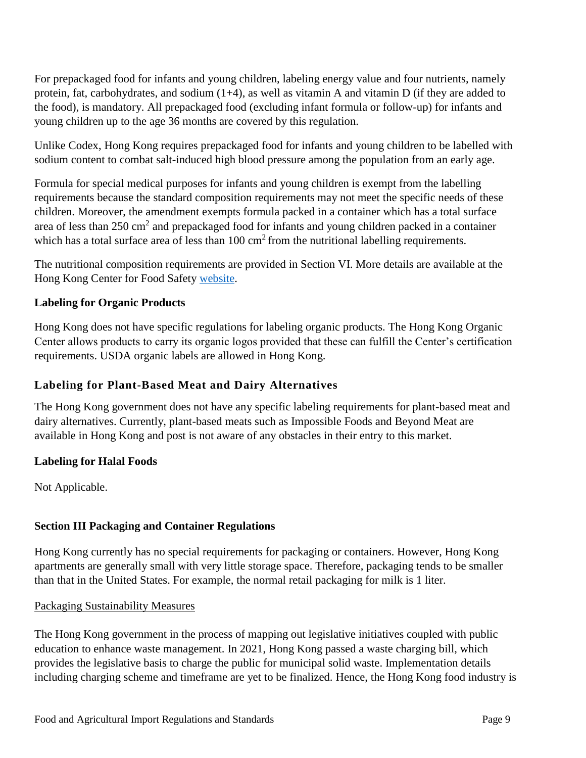For prepackaged food for infants and young children, labeling energy value and four nutrients, namely protein, fat, carbohydrates, and sodium (1+4), as well as vitamin A and vitamin D (if they are added to the food), is mandatory. All prepackaged food (excluding infant formula or follow-up) for infants and young children up to the age 36 months are covered by this regulation.

Unlike Codex, Hong Kong requires prepackaged food for infants and young children to be labelled with sodium content to combat salt-induced high blood pressure among the population from an early age.

Formula for special medical purposes for infants and young children is exempt from the labelling requirements because the standard composition requirements may not meet the specific needs of these children. Moreover, the amendment exempts formula packed in a container which has a total surface area of less than  $250 \text{ cm}^2$  and prepackaged food for infants and young children packed in a container which has a total surface area of less than  $100 \text{ cm}^2$  from the nutritional labelling requirements.

The nutritional composition requirements are provided in Section VI. More details are available at the Hong Kong Center for Food Safety [website.](http://www.cfs.gov.hk/english/food_leg/food_leg_Formula_Products_for_Infants.html)

# **Labeling for Organic Products**

Hong Kong does not have specific regulations for labeling organic products. The Hong Kong Organic Center allows products to carry its organic logos provided that these can fulfill the Center's certification requirements. USDA organic labels are allowed in Hong Kong.

### **Labeling for Plant-Based Meat and Dairy Alternatives**

The Hong Kong government does not have any specific labeling requirements for plant-based meat and dairy alternatives. Currently, plant-based meats such as Impossible Foods and Beyond Meat are available in Hong Kong and post is not aware of any obstacles in their entry to this market.

### **Labeling for Halal Foods**

Not Applicable.

### <span id="page-9-0"></span>**Section III Packaging and Container Regulations**

Hong Kong currently has no special requirements for packaging or containers. However, Hong Kong apartments are generally small with very little storage space. Therefore, packaging tends to be smaller than that in the United States. For example, the normal retail packaging for milk is 1 liter.

#### Packaging Sustainability Measures

The Hong Kong government in the process of mapping out legislative initiatives coupled with public education to enhance waste management. In 2021, Hong Kong passed a waste charging bill, which provides the legislative basis to charge the public for municipal solid waste. Implementation details including charging scheme and timeframe are yet to be finalized. Hence, the Hong Kong food industry is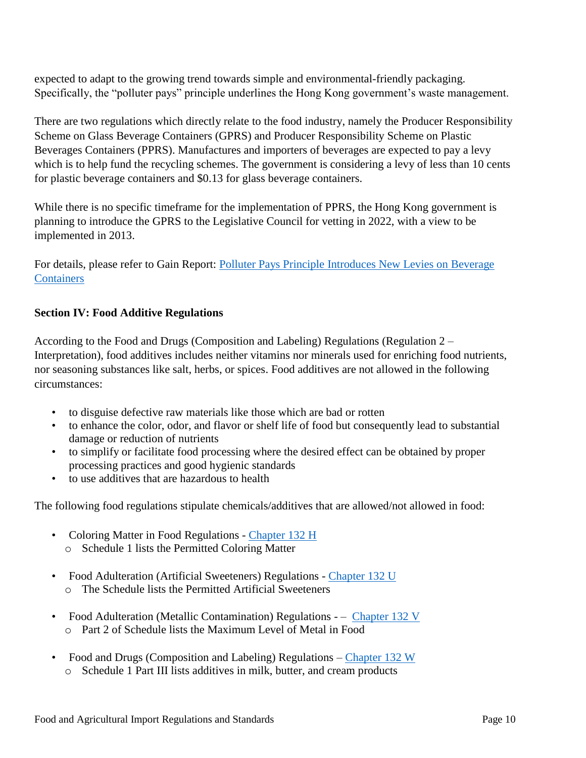expected to adapt to the growing trend towards simple and environmental-friendly packaging. Specifically, the "polluter pays" principle underlines the Hong Kong government's waste management.

There are two regulations which directly relate to the food industry, namely the Producer Responsibility Scheme on Glass Beverage Containers (GPRS) and Producer Responsibility Scheme on Plastic Beverages Containers (PPRS). Manufactures and importers of beverages are expected to pay a levy which is to help fund the recycling schemes. The government is considering a levy of less than 10 cents for plastic beverage containers and \$0.13 for glass beverage containers.

While there is no specific timeframe for the implementation of PPRS, the Hong Kong government is planning to introduce the GPRS to the Legislative Council for vetting in 2022, with a view to be implemented in 2013.

For details, please refer to Gain Report: [Polluter Pays Principle Introduces New Levies on Beverage](https://www.fas.usda.gov/data/hong-kong-polluter-pays-principle-introduces-new-levies-beverage-containers)  **[Containers](https://www.fas.usda.gov/data/hong-kong-polluter-pays-principle-introduces-new-levies-beverage-containers)** 

### <span id="page-10-0"></span>**Section IV: Food Additive Regulations**

According to the Food and Drugs (Composition and Labeling) Regulations (Regulation 2 – Interpretation), food additives includes neither vitamins nor minerals used for enriching food nutrients, nor seasoning substances like salt, herbs, or spices. Food additives are not allowed in the following circumstances:

- to disguise defective raw materials like those which are bad or rotten
- to enhance the color, odor, and flavor or shelf life of food but consequently lead to substantial damage or reduction of nutrients
- to simplify or facilitate food processing where the desired effect can be obtained by proper processing practices and good hygienic standards
- to use additives that are hazardous to health

The following food regulations stipulate chemicals/additives that are allowed/not allowed in food:

- Coloring Matter in Food Regulations [Chapter 132 H](https://www.elegislation.gov.hk/hk/cap132H) o Schedule 1 lists the Permitted Coloring Matter
- Food Adulteration (Artificial Sweeteners) Regulations [Chapter 132 U](https://www.elegislation.gov.hk/hk/cap132U) o The Schedule lists the Permitted Artificial Sweeteners
- Food Adulteration (Metallic Contamination) Regulations – [Chapter 132 V](https://www.elegislation.gov.hk/hk/cap132V) o Part 2 of Schedule lists the Maximum Level of Metal in Food
- Food and Drugs (Composition and Labeling) Regulations [Chapter 132 W](https://www.elegislation.gov.hk/hk/cap132W)
	- o Schedule 1 Part III lists additives in milk, butter, and cream products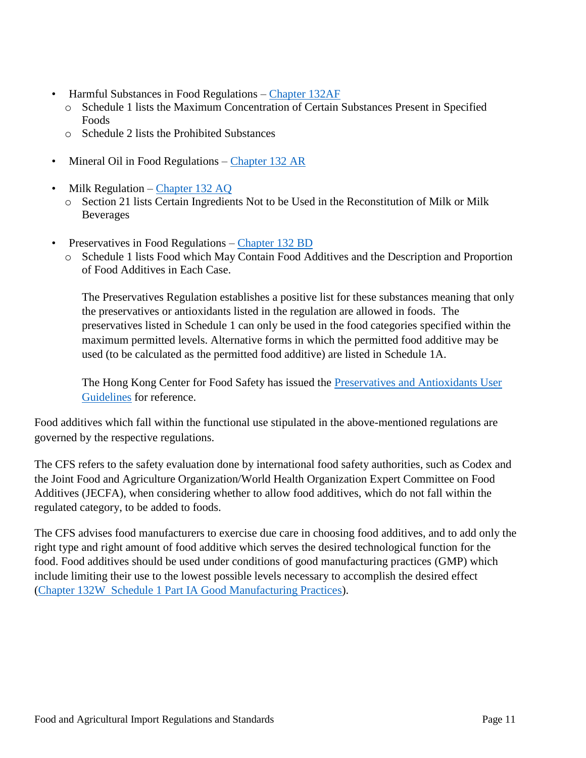- Harmful Substances in Food Regulations [Chapter 132AF](https://www.elegislation.gov.hk/hk/cap132AF)
	- o Schedule 1 lists the Maximum Concentration of Certain Substances Present in Specified **Foods**
	- o Schedule 2 lists the Prohibited Substances
- Mineral Oil in Food Regulations [Chapter 132 AR](https://www.elegislation.gov.hk/hk/cap132AR)
- Milk Regulation [Chapter 132 AQ](https://www.elegislation.gov.hk/hk/cap132AQ)
	- o Section 21 lists Certain Ingredients Not to be Used in the Reconstitution of Milk or Milk Beverages
- Preservatives in Food Regulations [Chapter 132 BD](https://www.elegislation.gov.hk/hk/cap132BD)
	- o Schedule 1 lists Food which May Contain Food Additives and the Description and Proportion of Food Additives in Each Case.

The Preservatives Regulation establishes a positive list for these substances meaning that only the preservatives or antioxidants listed in the regulation are allowed in foods. The preservatives listed in Schedule 1 can only be used in the food categories specified within the maximum permitted levels. Alternative forms in which the permitted food additive may be used (to be calculated as the permitted food additive) are listed in Schedule 1A.

The Hong Kong Center for Food Safety has issued the Preservatives and Antioxidants User [Guidelines](http://www.cfs.gov.hk/english/whatsnew/whatsnew_fstr/files/User_Guideline_e.pdf) for reference.

Food additives which fall within the functional use stipulated in the above-mentioned regulations are governed by the respective regulations.

The CFS refers to the safety evaluation done by international food safety authorities, such as Codex and the Joint Food and Agriculture Organization/World Health Organization Expert Committee on Food Additives (JECFA), when considering whether to allow food additives, which do not fall within the regulated category, to be added to foods.

The CFS advises food manufacturers to exercise due care in choosing food additives, and to add only the right type and right amount of food additive which serves the desired technological function for the food. Food additives should be used under conditions of good manufacturing practices (GMP) which include limiting their use to the lowest possible levels necessary to accomplish the desired effect [\(Chapter 132W Schedule 1 Part IA Good Manufacturing Practices](https://www.elegislation.gov.hk/hk/cap132W?xpid=ID_1438402696847_001)).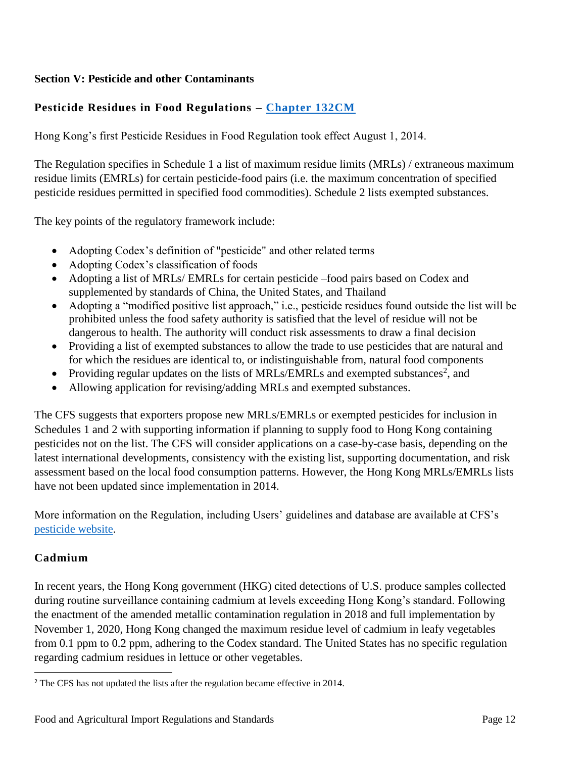# <span id="page-12-0"></span>**Section V: Pesticide and other Contaminants**

# **Pesticide Residues in Food Regulations – [Chapter 132CM](https://www.elegislation.gov.hk/hk/cap132CM)**

Hong Kong's first Pesticide Residues in Food Regulation took effect August 1, 2014.

The Regulation specifies in Schedule 1 a list of maximum residue limits (MRLs) / extraneous maximum residue limits (EMRLs) for certain pesticide-food pairs (i.e. the maximum concentration of specified pesticide residues permitted in specified food commodities). Schedule 2 lists exempted substances.

The key points of the regulatory framework include:

- Adopting Codex's definition of "pesticide" and other related terms
- Adopting Codex's classification of foods
- Adopting a list of MRLs/ EMRLs for certain pesticide –food pairs based on Codex and supplemented by standards of China, the United States, and Thailand
- Adopting a "modified positive list approach," i.e., pesticide residues found outside the list will be prohibited unless the food safety authority is satisfied that the level of residue will not be dangerous to health. The authority will conduct risk assessments to draw a final decision
- Providing a list of exempted substances to allow the trade to use pesticides that are natural and for which the residues are identical to, or indistinguishable from, natural food components
- Providing regular updates on the lists of MRLs/EMRLs and exempted substances<sup>2</sup>, and
- Allowing application for revising/adding MRLs and exempted substances.

The CFS suggests that exporters propose new MRLs/EMRLs or exempted pesticides for inclusion in Schedules 1 and 2 with supporting information if planning to supply food to Hong Kong containing pesticides not on the list. The CFS will consider applications on a case-by-case basis, depending on the latest international developments, consistency with the existing list, supporting documentation, and risk assessment based on the local food consumption patterns. However, the Hong Kong MRLs/EMRLs lists have not been updated since implementation in 2014.

More information on the Regulation, including Users' guidelines and database are available at CFS's [pesticide website.](http://www.cfs.gov.hk/english/whatsnew/whatsnew_fstr/whatsnew_fstr_21_Pesticide.html)

### **Cadmium**

 $\overline{\phantom{a}}$ 

In recent years, the Hong Kong government (HKG) cited detections of U.S. produce samples collected during routine surveillance containing cadmium at levels exceeding Hong Kong's standard. Following the enactment of the amended metallic contamination regulation in 2018 and full implementation by November 1, 2020, Hong Kong changed the maximum residue level of cadmium in leafy vegetables from 0.1 ppm to 0.2 ppm, adhering to the Codex standard. The United States has no specific regulation regarding cadmium residues in lettuce or other vegetables.

<sup>&</sup>lt;sup>2</sup> The CFS has not updated the lists after the regulation became effective in 2014.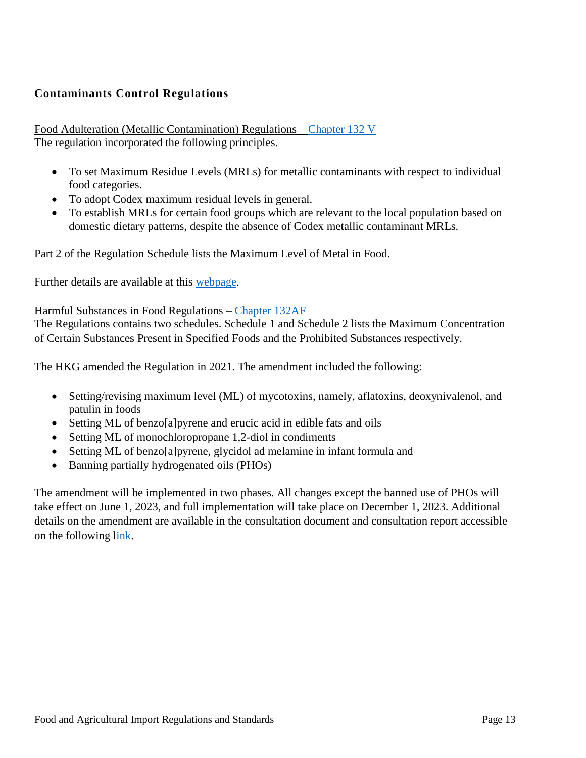# **Contaminants Control Regulations**

Food Adulteration (Metallic Contamination) Regulations – [Chapter 132 V](https://www.elegislation.gov.hk/hk/cap132V) The regulation incorporated the following principles.

- To set Maximum Residue Levels (MRLs) for metallic contaminants with respect to individual food categories.
- To adopt Codex maximum residual levels in general.
- To establish MRLs for certain food groups which are relevant to the local population based on domestic dietary patterns, despite the absence of Codex metallic contaminant MRLs.

Part 2 of the Regulation Schedule lists the Maximum Level of Metal in Food.

Further details are available at this [webpage.](http://www.cfs.gov.hk/english/whatsnew/whatsnew_fstr/whatsnew_fstr_PA_Food_Adulteration_Metallic_Contamination.html)

#### Harmful Substances in Food Regulations – [Chapter 132AF](https://www.elegislation.gov.hk/hk/cap132AF)

The Regulations contains two schedules. Schedule 1 and Schedule 2 lists the Maximum Concentration of Certain Substances Present in Specified Foods and the Prohibited Substances respectively.

The HKG amended the Regulation in 2021. The amendment included the following:

- Setting/revising maximum level (ML) of mycotoxins, namely, aflatoxins, deoxynivalenol, and patulin in foods
- Setting ML of benzo[a]pyrene and erucic acid in edible fats and oils
- Setting ML of monochloropropane 1,2-diol in condiments
- Setting ML of benzo[a]pyrene, glycidol ad melamine in infant formula and
- Banning partially hydrogenated oils (PHOs)

The amendment will be implemented in two phases. All changes except the banned use of PHOs will take effect on June 1, 2023, and full implementation will take place on December 1, 2023. Additional details on the amendment are available in the consultation document and consultation report accessible on the following [link.](https://www.cfs.gov.hk/english/whatsnew/whatsnew_fstr/whatsnew_fstr_Food_Regulations_Harmful_Substances.html)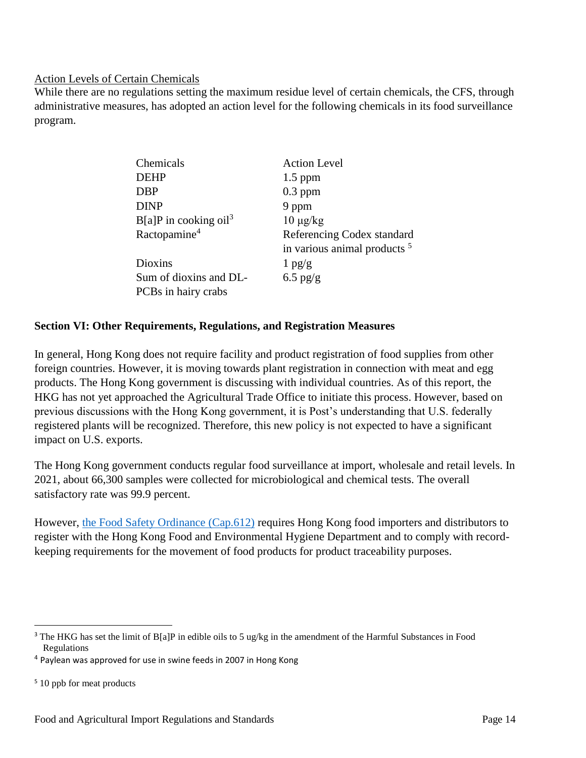#### Action Levels of Certain Chemicals

While there are no regulations setting the maximum residue level of certain chemicals, the CFS, through administrative measures, has adopted an action level for the following chemicals in its food surveillance program.

| Chemicals                           | <b>Action Level</b>                     |
|-------------------------------------|-----------------------------------------|
| <b>DEHP</b>                         | $1.5$ ppm                               |
| <b>DBP</b>                          | $0.3$ ppm                               |
| <b>DINP</b>                         | 9 ppm                                   |
| $B[a]P$ in cooking oil <sup>3</sup> | $10 \mu g/kg$                           |
| Ractopamine <sup>4</sup>            | Referencing Codex standard              |
|                                     | in various animal products <sup>5</sup> |
| <b>Dioxins</b>                      | $1$ pg/g                                |
| Sum of dioxins and DL-              | $6.5$ pg/g                              |
| PCBs in hairy crabs                 |                                         |

#### <span id="page-14-0"></span>**Section VI: Other Requirements, Regulations, and Registration Measures**

In general, Hong Kong does not require facility and product registration of food supplies from other foreign countries. However, it is moving towards plant registration in connection with meat and egg products. The Hong Kong government is discussing with individual countries. As of this report, the HKG has not yet approached the Agricultural Trade Office to initiate this process. However, based on previous discussions with the Hong Kong government, it is Post's understanding that U.S. federally registered plants will be recognized. Therefore, this new policy is not expected to have a significant impact on U.S. exports.

The Hong Kong government conducts regular food surveillance at import, wholesale and retail levels. In 2021, about 66,300 samples were collected for microbiological and chemical tests. The overall satisfactory rate was 99.9 percent.

However, the [Food Safety Ordinance \(Cap.612\)](https://www.elegislation.gov.hk/index/chapternumber?p0=1&TYPE=1&TYPE=2&TYPE=3&LANGUAGE=E&CAP_NO_FR=612) requires Hong Kong food importers and distributors to register with the Hong Kong Food and Environmental Hygiene Department and to comply with recordkeeping requirements for the movement of food products for product traceability purposes.

l <sup>3</sup> The HKG has set the limit of B[a]P in edible oils to 5 ug/kg in the amendment of the Harmful Substances in Food Regulations

<sup>&</sup>lt;sup>4</sup> Paylean was approved for use in swine feeds in 2007 in Hong Kong

<sup>&</sup>lt;sup>5</sup> 10 ppb for meat products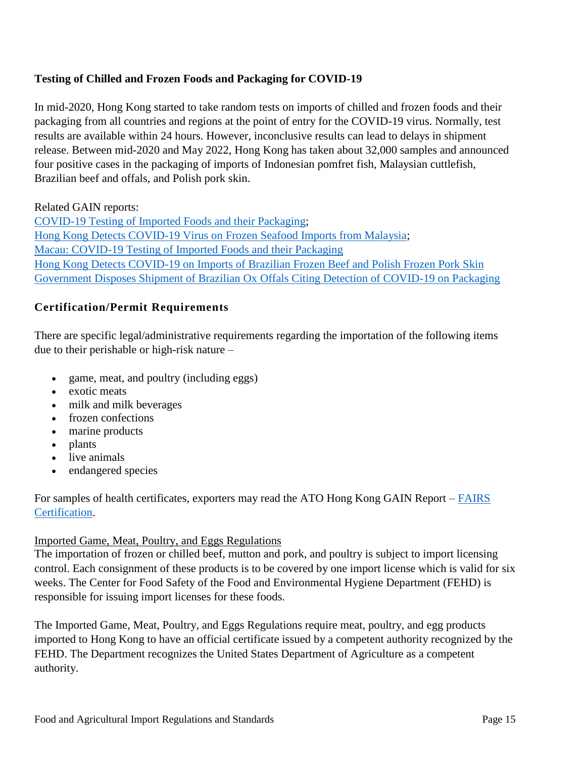# **Testing of Chilled and Frozen Foods and Packaging for COVID-19**

In mid-2020, Hong Kong started to take random tests on imports of chilled and frozen foods and their packaging from all countries and regions at the point of entry for the COVID-19 virus. Normally, test results are available within 24 hours. However, inconclusive results can lead to delays in shipment release. Between mid-2020 and May 2022, Hong Kong has taken about 32,000 samples and announced four positive cases in the packaging of imports of Indonesian pomfret fish, Malaysian cuttlefish, Brazilian beef and offals, and Polish pork skin.

Related GAIN reports:

[COVID-19 Testing of Imported Foods and their Packaging;](file:///C:/Users/User1/Downloads/COVID-19%20Testing%20of%20Imported%20Foods%20and%20their%20Packaging) [Hong Kong Detects COVID-19 Virus on Frozen Seafood Imports from Malaysia;](https://www.fas.usda.gov/data/hong-kong-hong-kong-detects-covid-19-virus-frozen-seafood-imports-malaysia) [Macau: COVID-19 Testing of Imported Foods and their Packaging](https://www.fas.usda.gov/data/macau-covid-19-testing-of-imported-foods) [Hong Kong Detects COVID-19 on Imports of Brazilian Frozen Beef and Polish Frozen Pork Skin](https://www.fas.usda.gov/data/hong-kong-hong-kong-detects-covid-19-imports-brazilian-frozen-beef-and-polish-frozen-pork-skin) [Government Disposes Shipment of Brazilian Ox Offals Citing Detection of COVID-19 on Packaging](https://www.fas.usda.gov/data/hong-kong-government-disposes-shipment-brazilian-ox-offals-citing-detection-covid-19-packaging)

### **Certification/Permit Requirements**

There are specific legal/administrative requirements regarding the importation of the following items due to their perishable or high-risk nature –

- game, meat, and poultry (including eggs)
- exotic meats
- milk and milk beverages
- frozen confections
- marine products
- plants
- live animals
- endangered species

For samples of health certificates, exporters may read the ATO Hong Kong GAIN Report – [FAIRS](https://gain.fas.usda.gov/#/search)  [Certification.](https://gain.fas.usda.gov/#/search)

### Imported Game, Meat, Poultry, and Eggs Regulations

The importation of frozen or chilled beef, mutton and pork, and poultry is subject to import licensing control. Each consignment of these products is to be covered by one import license which is valid for six weeks. The Center for Food Safety of the Food and Environmental Hygiene Department (FEHD) is responsible for issuing import licenses for these foods.

The Imported Game, Meat, Poultry, and Eggs Regulations require meat, poultry, and egg products imported to Hong Kong to have an official certificate issued by a competent authority recognized by the FEHD. The Department recognizes the United States Department of Agriculture as a competent authority.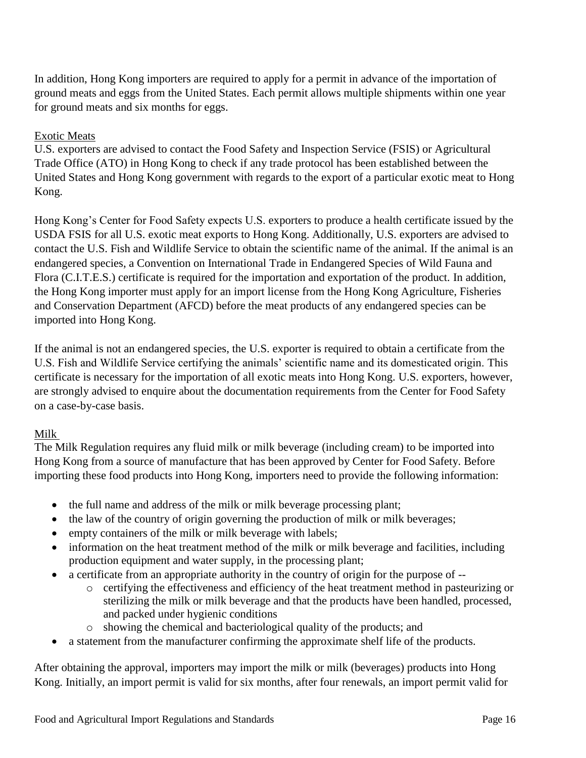In addition, Hong Kong importers are required to apply for a permit in advance of the importation of ground meats and eggs from the United States. Each permit allows multiple shipments within one year for ground meats and six months for eggs.

#### Exotic Meats

U.S. exporters are advised to contact the Food Safety and Inspection Service (FSIS) or Agricultural Trade Office (ATO) in Hong Kong to check if any trade protocol has been established between the United States and Hong Kong government with regards to the export of a particular exotic meat to Hong Kong.

Hong Kong's Center for Food Safety expects U.S. exporters to produce a health certificate issued by the USDA FSIS for all U.S. exotic meat exports to Hong Kong. Additionally, U.S. exporters are advised to contact the U.S. Fish and Wildlife Service to obtain the scientific name of the animal. If the animal is an endangered species, a Convention on International Trade in Endangered Species of Wild Fauna and Flora (C.I.T.E.S.) certificate is required for the importation and exportation of the product. In addition, the Hong Kong importer must apply for an import license from the Hong Kong Agriculture, Fisheries and Conservation Department (AFCD) before the meat products of any endangered species can be imported into Hong Kong.

If the animal is not an endangered species, the U.S. exporter is required to obtain a certificate from the U.S. Fish and Wildlife Service certifying the animals' scientific name and its domesticated origin. This certificate is necessary for the importation of all exotic meats into Hong Kong. U.S. exporters, however, are strongly advised to enquire about the documentation requirements from the Center for Food Safety on a case-by-case basis.

### Milk

The Milk Regulation requires any fluid milk or milk beverage (including cream) to be imported into Hong Kong from a source of manufacture that has been approved by Center for Food Safety. Before importing these food products into Hong Kong, importers need to provide the following information:

- the full name and address of the milk or milk beverage processing plant;
- the law of the country of origin governing the production of milk or milk beverages;
- empty containers of the milk or milk beverage with labels;
- information on the heat treatment method of the milk or milk beverage and facilities, including production equipment and water supply, in the processing plant;
- a certificate from an appropriate authority in the country of origin for the purpose of
	- o certifying the effectiveness and efficiency of the heat treatment method in pasteurizing or sterilizing the milk or milk beverage and that the products have been handled, processed, and packed under hygienic conditions
	- o showing the chemical and bacteriological quality of the products; and
- a statement from the manufacturer confirming the approximate shelf life of the products.

After obtaining the approval, importers may import the milk or milk (beverages) products into Hong Kong. Initially, an import permit is valid for six months, after four renewals, an import permit valid for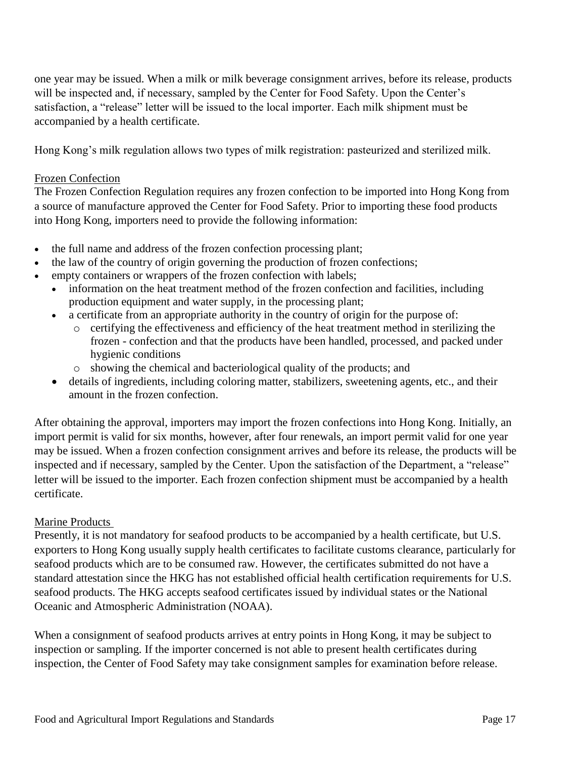one year may be issued. When a milk or milk beverage consignment arrives, before its release, products will be inspected and, if necessary, sampled by the Center for Food Safety. Upon the Center's satisfaction, a "release" letter will be issued to the local importer. Each milk shipment must be accompanied by a health certificate.

Hong Kong's milk regulation allows two types of milk registration: pasteurized and sterilized milk.

#### Frozen Confection

The Frozen Confection Regulation requires any frozen confection to be imported into Hong Kong from a source of manufacture approved the Center for Food Safety. Prior to importing these food products into Hong Kong, importers need to provide the following information:

- the full name and address of the frozen confection processing plant;
- the law of the country of origin governing the production of frozen confections;
- empty containers or wrappers of the frozen confection with labels;
	- information on the heat treatment method of the frozen confection and facilities, including production equipment and water supply, in the processing plant;
	- a certificate from an appropriate authority in the country of origin for the purpose of:
		- o certifying the effectiveness and efficiency of the heat treatment method in sterilizing the frozen - confection and that the products have been handled, processed, and packed under hygienic conditions
		- o showing the chemical and bacteriological quality of the products; and
	- details of ingredients, including coloring matter, stabilizers, sweetening agents, etc., and their amount in the frozen confection.

After obtaining the approval, importers may import the frozen confections into Hong Kong. Initially, an import permit is valid for six months, however, after four renewals, an import permit valid for one year may be issued. When a frozen confection consignment arrives and before its release, the products will be inspected and if necessary, sampled by the Center. Upon the satisfaction of the Department, a "release" letter will be issued to the importer. Each frozen confection shipment must be accompanied by a health certificate.

#### Marine Products

Presently, it is not mandatory for seafood products to be accompanied by a health certificate, but U.S. exporters to Hong Kong usually supply health certificates to facilitate customs clearance, particularly for seafood products which are to be consumed raw. However, the certificates submitted do not have a standard attestation since the HKG has not established official health certification requirements for U.S. seafood products. The HKG accepts seafood certificates issued by individual states or the National Oceanic and Atmospheric Administration (NOAA).

When a consignment of seafood products arrives at entry points in Hong Kong, it may be subject to inspection or sampling. If the importer concerned is not able to present health certificates during inspection, the Center of Food Safety may take consignment samples for examination before release.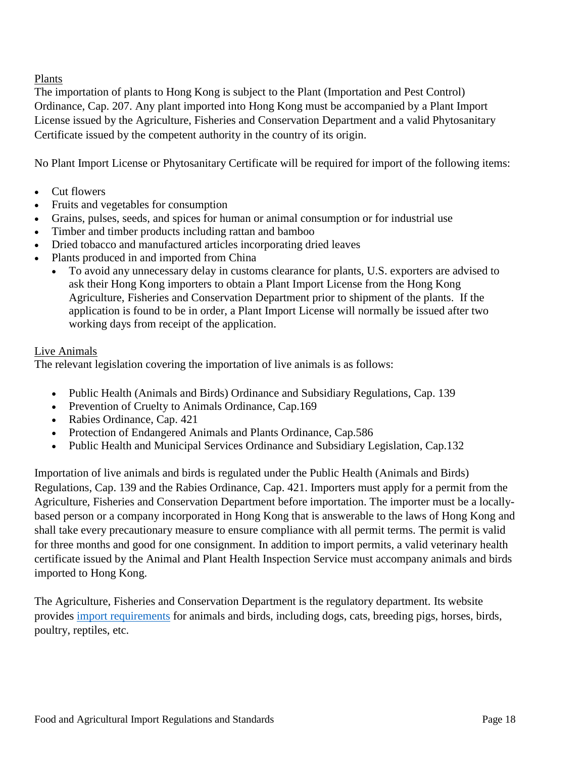Plants

The importation of plants to Hong Kong is subject to the Plant (Importation and Pest Control) Ordinance, Cap. 207. Any plant imported into Hong Kong must be accompanied by a Plant Import License issued by the Agriculture, Fisheries and Conservation Department and a valid Phytosanitary Certificate issued by the competent authority in the country of its origin.

No Plant Import License or Phytosanitary Certificate will be required for import of the following items:

- Cut flowers
- Fruits and vegetables for consumption
- Grains, pulses, seeds, and spices for human or animal consumption or for industrial use
- Timber and timber products including rattan and bamboo
- Dried tobacco and manufactured articles incorporating dried leaves
- Plants produced in and imported from China
	- To avoid any unnecessary delay in customs clearance for plants, U.S. exporters are advised to ask their Hong Kong importers to obtain a Plant Import License from the Hong Kong Agriculture, Fisheries and Conservation Department prior to shipment of the plants. If the application is found to be in order, a Plant Import License will normally be issued after two working days from receipt of the application.

# Live Animals

The relevant legislation covering the importation of live animals is as follows:

- Public Health (Animals and Birds) Ordinance and Subsidiary Regulations, Cap. 139
- Prevention of Cruelty to Animals Ordinance, Cap.169
- Rabies Ordinance, Cap. 421
- Protection of Endangered Animals and Plants Ordinance, Cap.586
- Public Health and Municipal Services Ordinance and Subsidiary Legislation, Cap.132

Importation of live animals and birds is regulated under the Public Health (Animals and Birds) Regulations, Cap. 139 and the Rabies Ordinance, Cap. 421. Importers must apply for a permit from the Agriculture, Fisheries and Conservation Department before importation. The importer must be a locallybased person or a company incorporated in Hong Kong that is answerable to the laws of Hong Kong and shall take every precautionary measure to ensure compliance with all permit terms. The permit is valid for three months and good for one consignment. In addition to import permits, a valid veterinary health certificate issued by the Animal and Plant Health Inspection Service must accompany animals and birds imported to Hong Kong.

The Agriculture, Fisheries and Conservation Department is the regulatory department. Its website provides [import requirements](http://www.afcd.gov.hk/english/quarantine/qua_ie/qua_ie.html) for animals and birds, including dogs, cats, breeding pigs, horses, birds, poultry, reptiles, etc.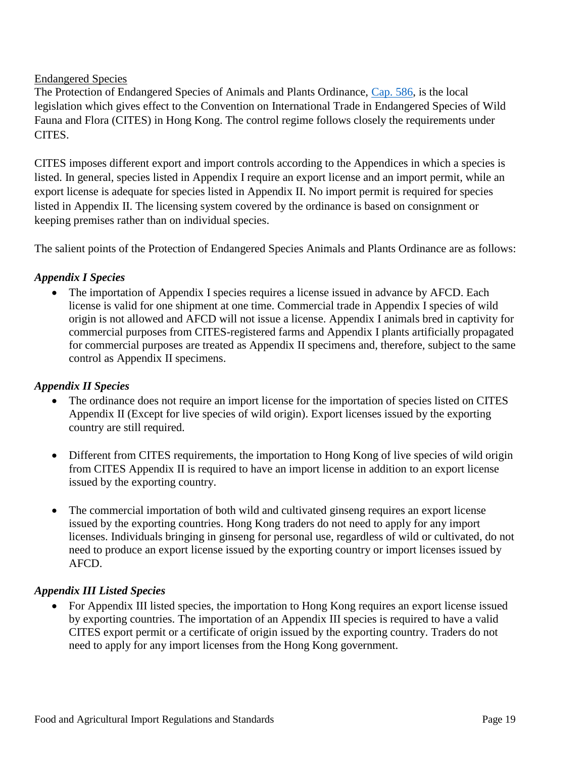### Endangered Species

The Protection of Endangered Species of Animals and Plants Ordinance, [Cap. 586,](https://www.elegislation.gov.hk/hk/cap586) is the local legislation which gives effect to the Convention on International Trade in Endangered Species of Wild Fauna and Flora (CITES) in Hong Kong. The control regime follows closely the requirements under CITES.

CITES imposes different export and import controls according to the Appendices in which a species is listed. In general, species listed in Appendix I require an export license and an import permit, while an export license is adequate for species listed in Appendix II. No import permit is required for species listed in Appendix II. The licensing system covered by the ordinance is based on consignment or keeping premises rather than on individual species.

The salient points of the Protection of Endangered Species Animals and Plants Ordinance are as follows:

### *Appendix I Species*

 The importation of Appendix I species requires a license issued in advance by AFCD. Each license is valid for one shipment at one time. Commercial trade in Appendix I species of wild origin is not allowed and AFCD will not issue a license. Appendix I animals bred in captivity for commercial purposes from CITES-registered farms and Appendix I plants artificially propagated for commercial purposes are treated as Appendix II specimens and, therefore, subject to the same control as Appendix II specimens.

#### *Appendix II Species*

- The ordinance does not require an import license for the importation of species listed on CITES Appendix II (Except for live species of wild origin). Export licenses issued by the exporting country are still required.
- Different from CITES requirements, the importation to Hong Kong of live species of wild origin from CITES Appendix II is required to have an import license in addition to an export license issued by the exporting country.
- The commercial importation of both wild and cultivated ginseng requires an export license issued by the exporting countries. Hong Kong traders do not need to apply for any import licenses. Individuals bringing in ginseng for personal use, regardless of wild or cultivated, do not need to produce an export license issued by the exporting country or import licenses issued by AFCD.

#### *Appendix III Listed Species*

 For Appendix III listed species, the importation to Hong Kong requires an export license issued by exporting countries. The importation of an Appendix III species is required to have a valid CITES export permit or a certificate of origin issued by the exporting country. Traders do not need to apply for any import licenses from the Hong Kong government.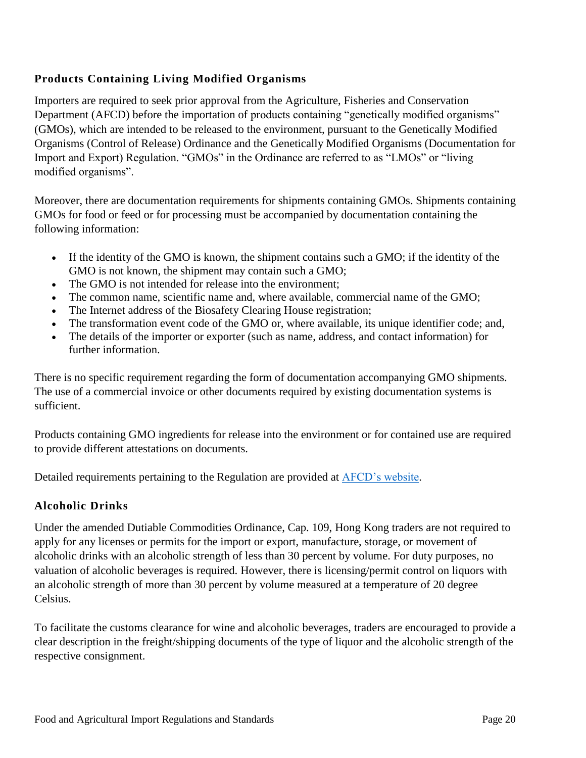# **Products Containing Living Modified Organisms**

Importers are required to seek prior approval from the Agriculture, Fisheries and Conservation Department (AFCD) before the importation of products containing "genetically modified organisms" (GMOs), which are intended to be released to the environment, pursuant to the Genetically Modified Organisms (Control of Release) Ordinance and the Genetically Modified Organisms (Documentation for Import and Export) Regulation. "GMOs" in the Ordinance are referred to as "LMOs" or "living modified organisms".

Moreover, there are documentation requirements for shipments containing GMOs. Shipments containing GMOs for food or feed or for processing must be accompanied by documentation containing the following information:

- If the identity of the GMO is known, the shipment contains such a GMO; if the identity of the GMO is not known, the shipment may contain such a GMO;
- The GMO is not intended for release into the environment;
- The common name, scientific name and, where available, commercial name of the GMO;
- The Internet address of the Biosafety Clearing House registration;
- The transformation event code of the GMO or, where available, its unique identifier code; and,
- The details of the importer or exporter (such as name, address, and contact information) for further information.

There is no specific requirement regarding the form of documentation accompanying GMO shipments. The use of a commercial invoice or other documents required by existing documentation systems is sufficient.

Products containing GMO ingredients for release into the environment or for contained use are required to provide different attestations on documents.

Detailed requirements pertaining to the Regulation are provided at [AFCD's website.](http://www.afcd.gov.hk/english/conservation/con_gmo/con_gmo.html)

# **Alcoholic Drinks**

Under the amended Dutiable Commodities Ordinance, Cap. 109, Hong Kong traders are not required to apply for any licenses or permits for the import or export, manufacture, storage, or movement of alcoholic drinks with an alcoholic strength of less than 30 percent by volume. For duty purposes, no valuation of alcoholic beverages is required. However, there is licensing/permit control on liquors with an alcoholic strength of more than 30 percent by volume measured at a temperature of 20 degree Celsius.

To facilitate the customs clearance for wine and alcoholic beverages, traders are encouraged to provide a clear description in the freight/shipping documents of the type of liquor and the alcoholic strength of the respective consignment.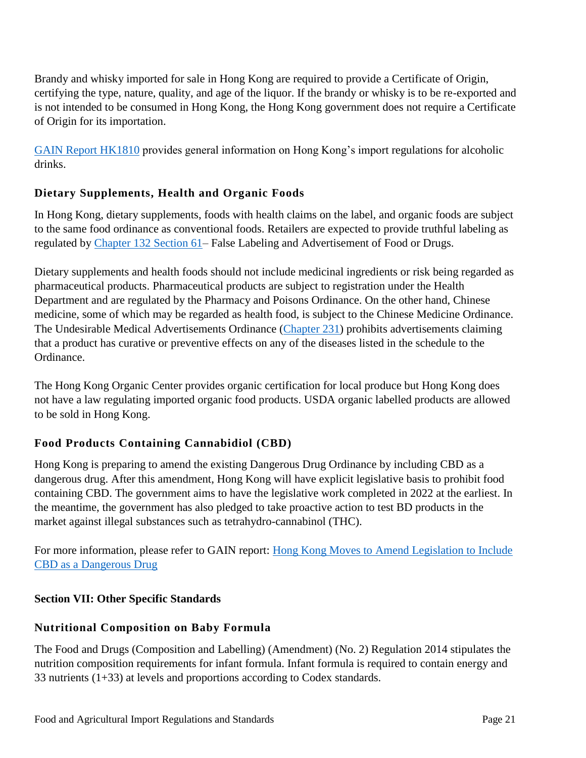Brandy and whisky imported for sale in Hong Kong are required to provide a Certificate of Origin, certifying the type, nature, quality, and age of the liquor. If the brandy or whisky is to be re-exported and is not intended to be consumed in Hong Kong, the Hong Kong government does not require a Certificate of Origin for its importation.

[GAIN Report HK1810](https://gain.fas.usda.gov/Recent%20GAIN%20Publications/Import%20Regulations%20on%20Alcoholic%20Drinks%20to%20Hong%20Kong%20and%20Macau_Hong%20Kong_Hong%20Kong_4-10-2018.pdf) provides general information on Hong Kong's import regulations for alcoholic drinks.

# **Dietary Supplements, Health and Organic Foods**

In Hong Kong, dietary supplements, foods with health claims on the label, and organic foods are subject to the same food ordinance as conventional foods. Retailers are expected to provide truthful labeling as regulated by [Chapter 132 Section 61–](https://www.elegislation.gov.hk/hk/cap132?xpid=ID_1438402661216_001) False Labeling and Advertisement of Food or Drugs.

Dietary supplements and health foods should not include medicinal ingredients or risk being regarded as pharmaceutical products. Pharmaceutical products are subject to registration under the Health Department and are regulated by the Pharmacy and Poisons Ordinance. On the other hand, Chinese medicine, some of which may be regarded as health food, is subject to the Chinese Medicine Ordinance. The Undesirable Medical Advertisements Ordinance [\(Chapter 231\)](https://www.elegislation.gov.hk/index/chapternumber?p0=1&TYPE=1&TYPE=2&TYPE=3&LANGUAGE=E&CAP_NO_FR=231) prohibits advertisements claiming that a product has curative or preventive effects on any of the diseases listed in the schedule to the Ordinance.

The Hong Kong Organic Center provides organic certification for local produce but Hong Kong does not have a law regulating imported organic food products. USDA organic labelled products are allowed to be sold in Hong Kong.

### **Food Products Containing Cannabidiol (CBD)**

Hong Kong is preparing to amend the existing Dangerous Drug Ordinance by including CBD as a dangerous drug. After this amendment, Hong Kong will have explicit legislative basis to prohibit food containing CBD. The government aims to have the legislative work completed in 2022 at the earliest. In the meantime, the government has also pledged to take proactive action to test BD products in the market against illegal substances such as tetrahydro-cannabinol (THC).

For more information, please refer to GAIN report: [Hong Kong Moves to Amend Legislation to Include](https://www.fas.usda.gov/data/hong-kong-hong-kong-moves-amend-legislation-include-cbd-dangerous-drug)  [CBD as a Dangerous Drug](https://www.fas.usda.gov/data/hong-kong-hong-kong-moves-amend-legislation-include-cbd-dangerous-drug) 

### <span id="page-21-0"></span>**Section VII: Other Specific Standards**

### **Nutritional Composition on Baby Formula**

The Food and Drugs (Composition and Labelling) (Amendment) (No. 2) Regulation 2014 stipulates the nutrition composition requirements for infant formula. Infant formula is required to contain energy and 33 nutrients (1+33) at levels and proportions according to Codex standards.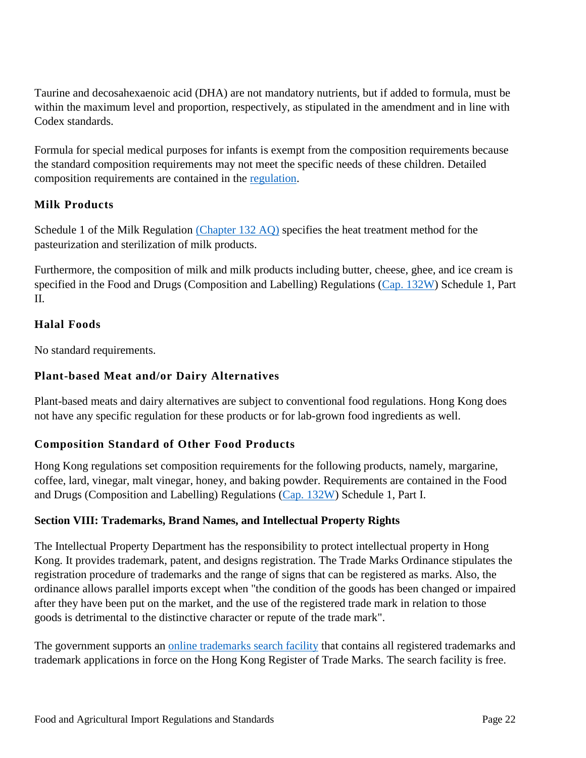Taurine and decosahexaenoic acid (DHA) are not mandatory nutrients, but if added to formula, must be within the maximum level and proportion, respectively, as stipulated in the amendment and in line with Codex standards.

Formula for special medical purposes for infants is exempt from the composition requirements because the standard composition requirements may not meet the specific needs of these children. Detailed composition requirements are contained in the [regulation.](http://www.gld.gov.hk/egazette/pdf/20141824/es22014182490.pdf)

# **Milk Products**

Schedule 1 of the Milk Regulation [\(Chapter 132 AQ\)](https://www.elegislation.gov.hk/hk/cap132AQ) specifies the heat treatment method for the pasteurization and sterilization of milk products.

Furthermore, the composition of milk and milk products including butter, cheese, ghee, and ice cream is specified in the Food and Drugs (Composition and Labelling) Regulations [\(Cap. 132W\)](https://www.elegislation.gov.hk/hk/cap132W) Schedule 1, Part II.

# **Halal Foods**

No standard requirements.

# **Plant-based Meat and/or Dairy Alternatives**

Plant-based meats and dairy alternatives are subject to conventional food regulations. Hong Kong does not have any specific regulation for these products or for lab-grown food ingredients as well.

### **Composition Standard of Other Food Products**

Hong Kong regulations set composition requirements for the following products, namely, margarine, coffee, lard, vinegar, malt vinegar, honey, and baking powder. Requirements are contained in the Food and Drugs (Composition and Labelling) Regulations [\(Cap. 132W\)](https://www.elegislation.gov.hk/hk/cap132W) Schedule 1, Part I.

### <span id="page-22-0"></span>**Section VIII: Trademarks, Brand Names, and Intellectual Property Rights**

The Intellectual Property Department has the responsibility to protect intellectual property in Hong Kong. It provides trademark, patent, and designs registration. The Trade Marks Ordinance stipulates the registration procedure of trademarks and the range of signs that can be registered as marks. Also, the ordinance allows parallel imports except when "the condition of the goods has been changed or impaired after they have been put on the market, and the use of the registered trade mark in relation to those goods is detrimental to the distinctive character or repute of the trade mark".

The government supports an [online trademarks search facility](http://ipsearch.ipd.gov.hk/index.html) that contains all registered trademarks and trademark applications in force on the Hong Kong Register of Trade Marks. The search facility is free.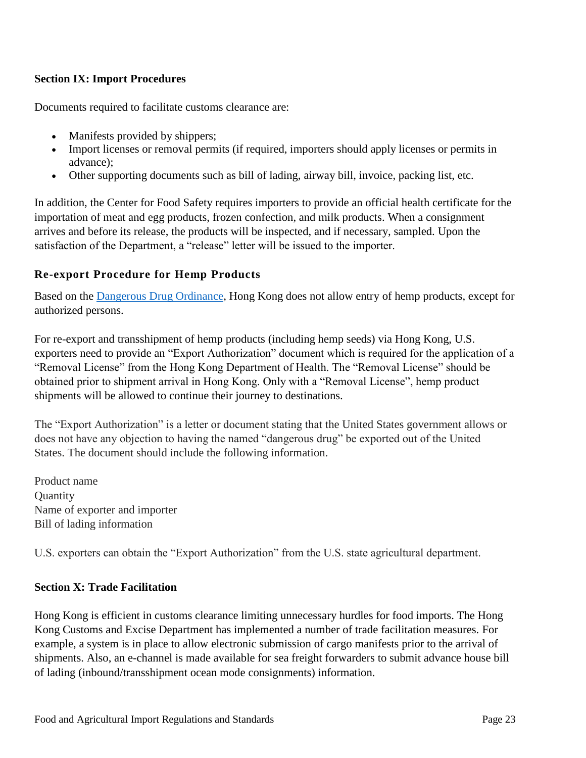### <span id="page-23-0"></span>**Section IX: Import Procedures**

Documents required to facilitate customs clearance are:

- Manifests provided by shippers;
- Import licenses or removal permits (if required, importers should apply licenses or permits in advance);
- Other supporting documents such as bill of lading, airway bill, invoice, packing list, etc.

In addition, the Center for Food Safety requires importers to provide an official health certificate for the importation of meat and egg products, frozen confection, and milk products. When a consignment arrives and before its release, the products will be inspected, and if necessary, sampled. Upon the satisfaction of the Department, a "release" letter will be issued to the importer.

# **Re-export Procedure for Hemp Products**

Based on the [Dangerous Drug Ordinance,](https://www.elegislation.gov.hk/hk/cap134?SEARCH_WITHIN_CAP_TXT=thchttps://www.elegislation.gov.hk/hk/cap134?SEARCH_WITHIN_CAP_TXT=thc) Hong Kong does not allow entry of hemp products, except for authorized persons.

For re-export and transshipment of hemp products (including hemp seeds) via Hong Kong, U.S. exporters need to provide an "Export Authorization" document which is required for the application of a "Removal License" from the Hong Kong Department of Health. The "Removal License" should be obtained prior to shipment arrival in Hong Kong. Only with a "Removal License", hemp product shipments will be allowed to continue their journey to destinations.

The "Export Authorization" is a letter or document stating that the United States government allows or does not have any objection to having the named "dangerous drug" be exported out of the United States. The document should include the following information.

Product name **Ouantity** Name of exporter and importer Bill of lading information

U.S. exporters can obtain the "Export Authorization" from the U.S. state agricultural department.

### <span id="page-23-1"></span>**Section X: Trade Facilitation**

Hong Kong is efficient in customs clearance limiting unnecessary hurdles for food imports. The Hong Kong Customs and Excise Department has implemented a number of trade facilitation measures. For example, a system is in place to allow electronic submission of cargo manifests prior to the arrival of shipments. Also, an e-channel is made available for sea freight forwarders to submit advance house bill of lading (inbound/transshipment ocean mode consignments) information.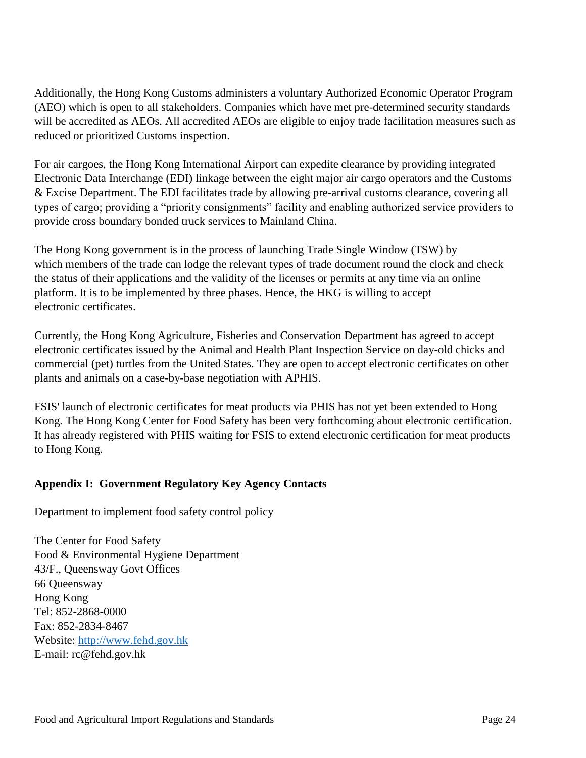Additionally, the Hong Kong Customs administers a voluntary Authorized Economic Operator Program (AEO) which is open to all stakeholders. Companies which have met pre-determined security standards will be accredited as AEOs. All accredited AEOs are eligible to enjoy trade facilitation measures such as reduced or prioritized Customs inspection.

For air cargoes, the Hong Kong International Airport can expedite clearance by providing integrated Electronic Data Interchange (EDI) linkage between the eight major air cargo operators and the Customs & Excise Department. The EDI facilitates trade by allowing pre-arrival customs clearance, covering all types of cargo; providing a "priority consignments" facility and enabling authorized service providers to provide cross boundary bonded truck services to Mainland China.

The Hong Kong government is in the process of launching Trade Single Window (TSW) by which members of the trade can lodge the relevant types of trade document round the clock and check the status of their applications and the validity of the licenses or permits at any time via an online platform. It is to be implemented by three phases. Hence, the HKG is willing to accept electronic certificates.

Currently, the Hong Kong Agriculture, Fisheries and Conservation Department has agreed to accept electronic certificates issued by the Animal and Health Plant Inspection Service on day-old chicks and commercial (pet) turtles from the United States. They are open to accept electronic certificates on other plants and animals on a case-by-base negotiation with APHIS.

FSIS' launch of electronic certificates for meat products via PHIS has not yet been extended to Hong Kong. The Hong Kong Center for Food Safety has been very forthcoming about electronic certification. It has already registered with PHIS waiting for FSIS to extend electronic certification for meat products to Hong Kong.

# <span id="page-24-0"></span>**Appendix I: Government Regulatory Key Agency Contacts**

Department to implement food safety control policy

The Center for Food Safety Food & Environmental Hygiene Department 43/F., Queensway Govt Offices 66 Queensway Hong Kong Tel: 852-2868-0000 Fax: 852-2834-8467 Website: [http://www.fehd.gov.hk](http://www.fehd.gov.hk/) E-mail: rc@fehd.gov.hk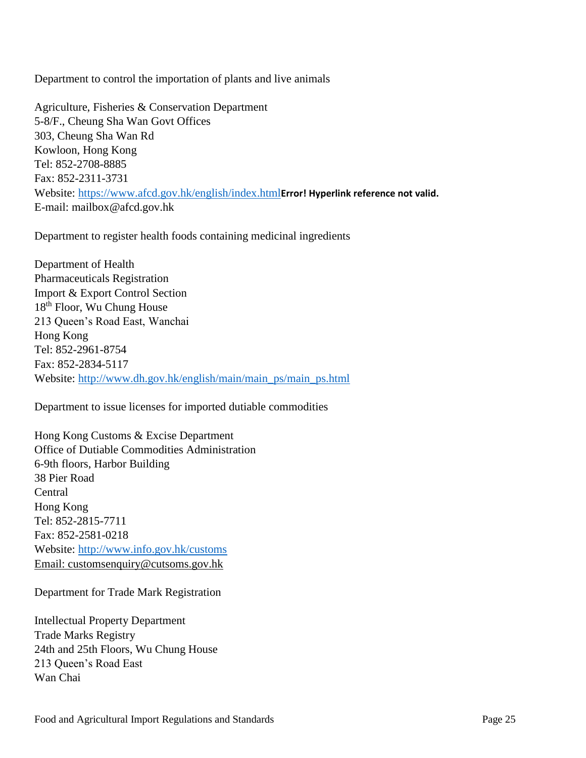Department to control the importation of plants and live animals

Agriculture, Fisheries & Conservation Department 5-8/F., Cheung Sha Wan Govt Offices 303, Cheung Sha Wan Rd Kowloon, Hong Kong Tel: 852-2708-8885 Fax: 852-2311-3731 Website:<https://www.afcd.gov.hk/english/index.html>**[Error! Hyperlink reference not valid.](https://www.afcd.gov.hk/english/index.html)** E-mail: mailbox@afcd.gov.hk

Department to register health foods containing medicinal ingredients

Department of Health Pharmaceuticals Registration Import & Export Control Section 18th Floor, Wu Chung House 213 Queen's Road East, Wanchai Hong Kong Tel: 852-2961-8754 Fax: 852-2834-5117 Website: [http://www.dh.gov.hk/english/main/main\\_ps/main\\_ps.html](http://www.dh.gov.hk/english/main/main_ps/main_ps.html)

Department to issue licenses for imported dutiable commodities

Hong Kong Customs & Excise Department Office of Dutiable Commodities Administration 6-9th floors, Harbor Building 38 Pier Road Central Hong Kong Tel: 852-2815-7711 Fax: 852-2581-0218 Website:<http://www.info.gov.hk/customs> Email: customsenquiry@cutsoms.gov.hk

Department for Trade Mark Registration

Intellectual Property Department Trade Marks Registry 24th and 25th Floors, Wu Chung House 213 Queen's Road East Wan Chai